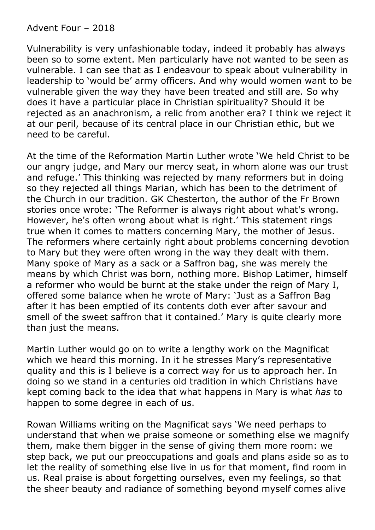Advent Four – 2018

Vulnerability is very unfashionable today, indeed it probably has always been so to some extent. Men particularly have not wanted to be seen as vulnerable. I can see that as I endeavour to speak about vulnerability in leadership to 'would be' army officers. And why would women want to be vulnerable given the way they have been treated and still are. So why does it have a particular place in Christian spirituality? Should it be rejected as an anachronism, a relic from another era? I think we reject it at our peril, because of its central place in our Christian ethic, but we need to be careful.

At the time of the Reformation Martin Luther wrote 'We held Christ to be our angry judge, and Mary our mercy seat, in whom alone was our trust and refuge.' This thinking was rejected by many reformers but in doing so they rejected all things Marian, which has been to the detriment of the Church in our tradition. GK Chesterton, the author of the Fr Brown stories once wrote: 'The Reformer is always right about what's wrong. However, he's often wrong about what is right.' This statement rings true when it comes to matters concerning Mary, the mother of Jesus. The reformers where certainly right about problems concerning devotion to Mary but they were often wrong in the way they dealt with them. Many spoke of Mary as a sack or a Saffron bag, she was merely the means by which Christ was born, nothing more. Bishop Latimer, himself a reformer who would be burnt at the stake under the reign of Mary I, offered some balance when he wrote of Mary: 'Just as a Saffron Bag after it has been emptied of its contents doth ever after savour and smell of the sweet saffron that it contained.' Mary is quite clearly more than just the means.

Martin Luther would go on to write a lengthy work on the Magnificat which we heard this morning. In it he stresses Mary's representative quality and this is I believe is a correct way for us to approach her. In doing so we stand in a centuries old tradition in which Christians have kept coming back to the idea that what happens in Mary is what *has* to happen to some degree in each of us.

Rowan Williams writing on the Magnificat says 'We need perhaps to understand that when we praise someone or something else we magnify them, make them bigger in the sense of giving them more room: we step back, we put our preoccupations and goals and plans aside so as to let the reality of something else live in us for that moment, find room in us. Real praise is about forgetting ourselves, even my feelings, so that the sheer beauty and radiance of something beyond myself comes alive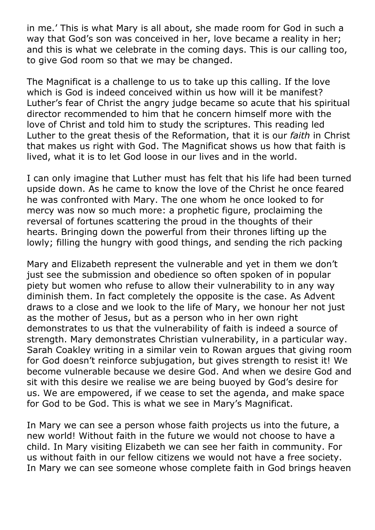in me.' This is what Mary is all about, she made room for God in such a way that God's son was conceived in her, love became a reality in her; and this is what we celebrate in the coming days. This is our calling too, to give God room so that we may be changed.

The Magnificat is a challenge to us to take up this calling. If the love which is God is indeed conceived within us how will it be manifest? Luther's fear of Christ the angry judge became so acute that his spiritual director recommended to him that he concern himself more with the love of Christ and told him to study the scriptures. This reading led Luther to the great thesis of the Reformation, that it is our *faith* in Christ that makes us right with God. The Magnificat shows us how that faith is lived, what it is to let God loose in our lives and in the world.

I can only imagine that Luther must has felt that his life had been turned upside down. As he came to know the love of the Christ he once feared he was confronted with Mary. The one whom he once looked to for mercy was now so much more: a prophetic figure, proclaiming the reversal of fortunes scattering the proud in the thoughts of their hearts. Bringing down the powerful from their thrones lifting up the lowly; filling the hungry with good things, and sending the rich packing

Mary and Elizabeth represent the vulnerable and yet in them we don't just see the submission and obedience so often spoken of in popular piety but women who refuse to allow their vulnerability to in any way diminish them. In fact completely the opposite is the case. As Advent draws to a close and we look to the life of Mary, we honour her not just as the mother of Jesus, but as a person who in her own right demonstrates to us that the vulnerability of faith is indeed a source of strength. Mary demonstrates Christian vulnerability, in a particular way. Sarah Coakley writing in a similar vein to Rowan argues that giving room for God doesn't reinforce subjugation, but gives strength to resist it! We become vulnerable because we desire God. And when we desire God and sit with this desire we realise we are being buoyed by God's desire for us. We are empowered, if we cease to set the agenda, and make space for God to be God. This is what we see in Mary's Magnificat.

In Mary we can see a person whose faith projects us into the future, a new world! Without faith in the future we would not choose to have a child. In Mary visiting Elizabeth we can see her faith in community. For us without faith in our fellow citizens we would not have a free society. In Mary we can see someone whose complete faith in God brings heaven